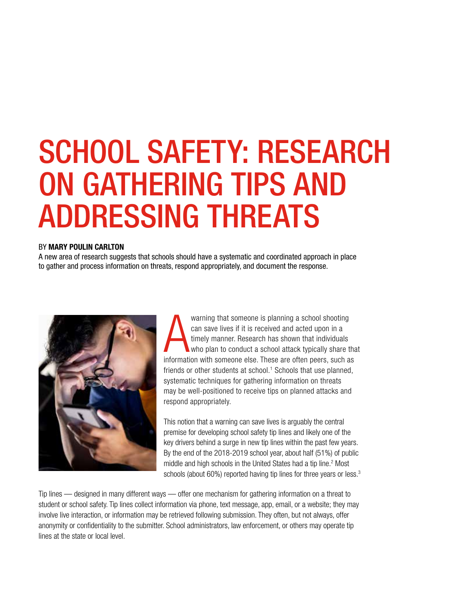# SCHOOL SAFETY: RESEARCH ON GATHERING TIPS AND ADDRESSING THREATS

#### BY MARY POULIN CARLTON

A new area of research suggests that schools should have a systematic and coordinated approach in place to gather and process information on threats, respond appropriately, and document the response.



warning that someone is planning a school shooting<br>can save lives if it is received and acted upon in a<br>timely manner. Research has shown that individuals<br>who plan to conduct a school attack typically share the<br>information warning that someone is planning a school shooting can save lives if it is received and acted upon in a timely manner. Research has shown that individuals who plan to conduct a school attack typically share that friends or other students at school.<sup>1</sup> Schools that use planned, systematic techniques for gathering information on threats may be well-positioned to receive tips on planned attacks and respond appropriately.

This notion that a warning can save lives is arguably the central premise for developing school safety tip lines and likely one of the key drivers behind a surge in new tip lines within the past few years. By the end of the 2018-2019 school year, about half (51%) of public middle and high schools in the United States had a tip line.<sup>2</sup> Most schools (about 60%) reported having tip lines for three years or less.<sup>3</sup>

Tip lines — designed in many different ways — offer one mechanism for gathering information on a threat to student or school safety. Tip lines collect information via phone, text message, app, email, or a website; they may involve live interaction, or information may be retrieved following submission. They often, but not always, offer anonymity or confidentiality to the submitter. School administrators, law enforcement, or others may operate tip lines at the state or local level.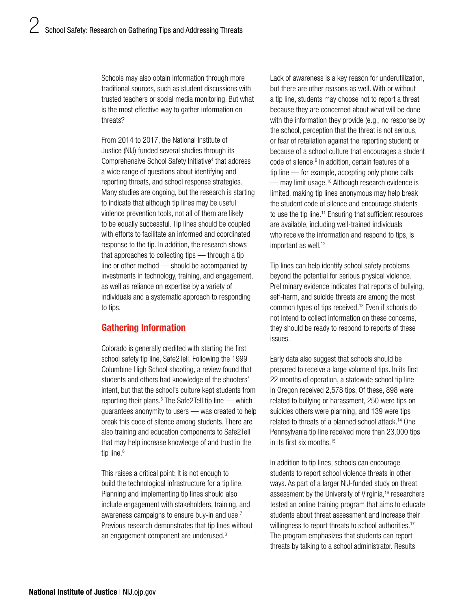Schools may also obtain information through more traditional sources, such as student discussions with trusted teachers or social media monitoring. But what is the most effective way to gather information on threats?

From 2014 to 2017, the National Institute of Justice (NIJ) funded several studies through its Comprehensive School Safety Initiative<sup>4</sup> that address a wide range of questions about identifying and reporting threats, and school response strategies. Many studies are ongoing, but the research is starting to indicate that although tip lines may be useful violence prevention tools, not all of them are likely to be equally successful. Tip lines should be coupled with efforts to facilitate an informed and coordinated response to the tip. In addition, the research shows that approaches to collecting tips — through a tip line or other method — should be accompanied by investments in technology, training, and engagement, as well as reliance on expertise by a variety of individuals and a systematic approach to responding to tips.

# Gathering Information

Colorado is generally credited with starting the first school safety tip line, Safe2Tell. Following the 1999 Columbine High School shooting, a review found that students and others had knowledge of the shooters' intent, but that the school's culture kept students from reporting their plans.<sup>5</sup> The Safe2Tell tip line — which guarantees anonymity to users — was created to help break this code of silence among students. There are also training and education components to Safe2Tell that may help increase knowledge of and trust in the tip line.<sup>6</sup>

This raises a critical point: It is not enough to build the technological infrastructure for a tip line. Planning and implementing tip lines should also include engagement with stakeholders, training, and awareness campaigns to ensure buy-in and use.7 Previous research demonstrates that tip lines without an engagement component are underused.8

Lack of awareness is a key reason for underutilization, but there are other reasons as well. With or without a tip line, students may choose not to report a threat because they are concerned about what will be done with the information they provide (e.g., no response by the school, perception that the threat is not serious, or fear of retaliation against the reporting student) or because of a school culture that encourages a student code of silence.<sup>9</sup> In addition, certain features of a tip line — for example, accepting only phone calls — may limit usage.<sup>10</sup> Although research evidence is limited, making tip lines anonymous may help break the student code of silence and encourage students to use the tip line.<sup>11</sup> Ensuring that sufficient resources are available, including well-trained individuals who receive the information and respond to tips, is important as well.<sup>12</sup>

Tip lines can help identify school safety problems beyond the potential for serious physical violence. Preliminary evidence indicates that reports of bullying, self-harm, and suicide threats are among the most common types of tips [received.13](https://received.13) Even if schools do not intend to collect information on these concerns, they should be ready to respond to reports of these issues.

Early data also suggest that schools should be prepared to receive a large volume of tips. In its first 22 months of operation, a statewide school tip line in Oregon received 2,578 tips. Of these, 898 were related to bullying or harassment, 250 were tips on suicides others were planning, and 139 were tips related to threats of a planned school [attack.14](https://attack.14) One Pennsylvania tip line received more than 23,000 tips in its first six [months.15](https://months.15) 

In addition to tip lines, schools can encourage students to report school violence threats in other ways. As part of a larger NIJ-funded study on threat assessment by the University of Virginia,<sup>16</sup> researchers tested an online training program that aims to educate students about threat assessment and increase their willingness to report threats to school authorities.<sup>17</sup> The program emphasizes that students can report threats by talking to a school administrator. Results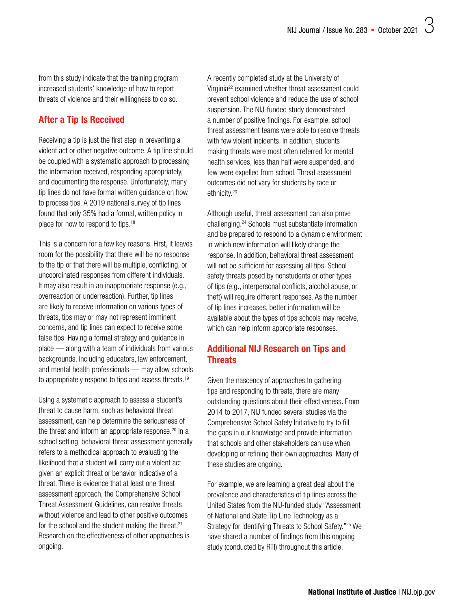from this study indicate that the training program increased students' knowledge of how to report threats of violence and their willingness to do so.

## After a Tip Is Received

Receiving a tip is just the first step in preventing a violent act or other negative outcome. A tip line should be coupled with a systematic approach to processing the information received, responding appropriately, and documenting the response. Unfortunately, many tip lines do not have formal written guidance on how to process tips. A 2019 national survey of tip lines found that only 35% had a formal, written policy in place for how to respond to tips.<sup>18</sup>

This is a concern for a few key reasons. First, it leaves room for the possibility that there will be no response to the tip or that there will be multiple, conflicting, or uncoordinated responses from different individuals. It may also result in an inappropriate response (e.g., overreaction or underreaction). Further, tip lines are likely to receive information on various types of threats, tips may or may not represent imminent concerns, and tip lines can expect to receive some false tips. Having a formal strategy and guidance in place — along with a team of individuals from various backgrounds, including educators, law enforcement, and mental health professionals — may allow schools to appropriately respond to tips and assess threats.<sup>19</sup>

Using a systematic approach to assess a student's threat to cause harm, such as behavioral threat assessment, can help determine the seriousness of the threat and inform an appropriate response.<sup>20</sup> In a school setting, behavioral threat assessment generally refers to a methodical approach to evaluating the likelihood that a student will carry out a violent act given an explicit threat or behavior indicative of a threat. There is evidence that at least one threat assessment approach, the Comprehensive School Threat Assessment Guidelines, can resolve threats without violence and lead to other positive outcomes for the school and the student making the threat. $21$ Research on the effectiveness of other approaches is ongoing.

A recently completed study at the University of Virginia22 examined whether threat assessment could prevent school violence and reduce the use of school suspension. The NIJ-funded study demonstrated a number of positive findings. For example, school threat assessment teams were able to resolve threats with few violent incidents. In addition, students making threats were most often referred for mental health services, less than half were suspended, and few were expelled from school. Threat assessment outcomes did not vary for students by race or ethnicity.<sup>23</sup>

Although useful, threat assessment can also prove [challenging.24](https://challenging.24) Schools must substantiate information and be prepared to respond to a dynamic environment in which new information will likely change the response. In addition, behavioral threat assessment will not be sufficient for assessing all tips. School safety threats posed by nonstudents or other types of tips (e.g., interpersonal conflicts, alcohol abuse, or theft) will require different responses. As the number of tip lines increases, better information will be available about the types of tips schools may receive, which can help inform appropriate responses.

## Additional NIJ Research on Tips and **Threats**

Given the nascency of approaches to gathering tips and responding to threats, there are many outstanding questions about their effectiveness. From 2014 to 2017, NIJ funded several studies via the Comprehensive School Safety Initiative to try to fill the gaps in our knowledge and provide information that schools and other stakeholders can use when developing or refining their own approaches. Many of these studies are ongoing.

For example, we are learning a great deal about the prevalence and characteristics of tip lines across the United States from the NIJ-funded study "Assessment of National and State Tip Line Technology as a Strategy for Identifying Threats to School Safety."25 We have shared a number of findings from this ongoing study (conducted by RTI) throughout this article.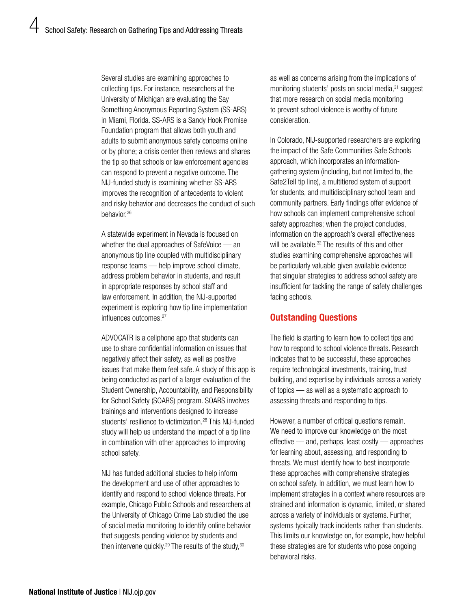Several studies are examining approaches to collecting tips. For instance, researchers at the University of Michigan are evaluating the Say Something Anonymous Reporting System (SS-ARS) in Miami, Florida. SS-ARS is a Sandy Hook Promise Foundation program that allows both youth and adults to submit anonymous safety concerns online or by phone; a crisis center then reviews and shares the tip so that schools or law enforcement agencies can respond to prevent a negative outcome. The NIJ-funded study is examining whether SS-ARS improves the recognition of antecedents to violent and risky behavior and decreases the conduct of such behavior.<sup>26</sup>

A statewide experiment in Nevada is focused on whether the dual approaches of SafeVoice — an anonymous tip line coupled with multidisciplinary response teams — help improve school climate, address problem behavior in students, and result in appropriate responses by school staff and law enforcement. In addition, the NIJ-supported experiment is exploring how tip line implementation influences outcomes.<sup>27</sup>

ADVOCATR is a cellphone app that students can use to share confidential information on issues that negatively affect their safety, as well as positive issues that make them feel safe. A study of this app is being conducted as part of a larger evaluation of the Student Ownership, Accountability, and Responsibility for School Safety (SOARS) program. SOARS involves trainings and interventions designed to increase students' resilience to victimization.<sup>28</sup> This NIJ-funded study will help us understand the impact of a tip line in combination with other approaches to improving school safety.

NIJ has funded additional studies to help inform the development and use of other approaches to identify and respond to school violence threats. For example, Chicago Public Schools and researchers at the University of Chicago Crime Lab studied the use of social media monitoring to identify online behavior that suggests pending violence by students and then intervene quickly.<sup>29</sup> The results of the study, $30$ 

as well as concerns arising from the implications of monitoring students' posts on social media,<sup>31</sup> suggest that more research on social media monitoring to prevent school violence is worthy of future consideration.

In Colorado, NIJ-supported researchers are exploring the impact of the Safe Communities Safe Schools approach, which incorporates an informationgathering system (including, but not limited to, the Safe2Tell tip line), a multitiered system of support for students, and multidisciplinary school team and community partners. Early findings offer evidence of how schools can implement comprehensive school safety approaches; when the project concludes, information on the approach's overall effectiveness will be available.<sup>32</sup> The results of this and other studies examining comprehensive approaches will be particularly valuable given available evidence that singular strategies to address school safety are insufficient for tackling the range of safety challenges facing schools.

## Outstanding Questions

The field is starting to learn how to collect tips and how to respond to school violence threats. Research indicates that to be successful, these approaches require technological investments, training, trust building, and expertise by individuals across a variety of topics — as well as a systematic approach to assessing threats and responding to tips.

However, a number of critical questions remain. We need to improve our knowledge on the most effective — and, perhaps, least costly — approaches for learning about, assessing, and responding to threats. We must identify how to best incorporate these approaches with comprehensive strategies on school safety. In addition, we must learn how to implement strategies in a context where resources are strained and information is dynamic, limited, or shared across a variety of individuals or systems. Further, systems typically track incidents rather than students. This limits our knowledge on, for example, how helpful these strategies are for students who pose ongoing behavioral risks.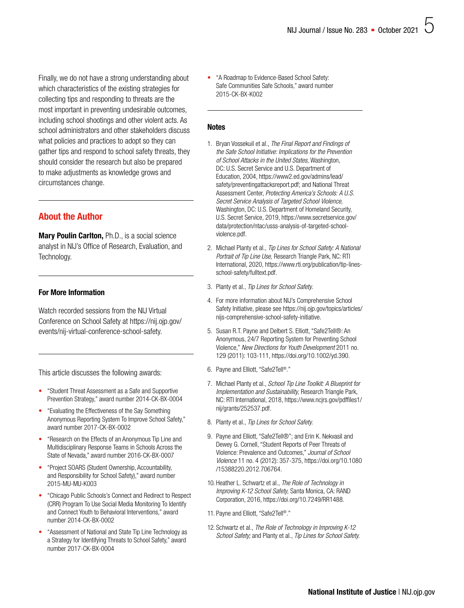Finally, we do not have a strong understanding about which characteristics of the existing strategies for collecting tips and responding to threats are the most important in preventing undesirable outcomes, including school shootings and other violent acts. As school administrators and other stakeholders discuss what policies and practices to adopt so they can gather tips and respond to school safety threats, they should consider the research but also be prepared to make adjustments as knowledge grows and circumstances change.

## About the Author

Mary Poulin Carlton, Ph.D., is a social science analyst in NIJ's Office of Research, Evaluation, and Technology.

#### For More Information

Watch recorded sessions from the NIJ Virtual Conference on School Safety at [https://nij.ojp.gov/](https://nij.ojp.gov/events/nij-virtual-conference-school-safety) [events/nij-virtual-conference-school-safety.](https://nij.ojp.gov/events/nij-virtual-conference-school-safety)

This article discusses the following awards:

- ["Student Threat Assessment as a Safe and Supportive](https://nij.ojp.gov/funding/awards/2014-ck-bx-0004)  [Prevention Strategy," award number 2014-CK-BX-0004](https://nij.ojp.gov/funding/awards/2014-ck-bx-0004)
- ["Evaluating the Effectiveness of the Say Something](https://nij.ojp.gov/funding/awards/2017-ck-bx-0002)  [Anonymous Reporting System To Improve School Safety,"](https://nij.ojp.gov/funding/awards/2017-ck-bx-0002)  [award number 2017-CK-BX-0002](https://nij.ojp.gov/funding/awards/2017-ck-bx-0002)
- ["Research on the Effects of an Anonymous Tip Line and](https://nij.ojp.gov/funding/awards/2016-ck-bx-0007)  [Multidisciplinary Response Teams in Schools Across the](https://nij.ojp.gov/funding/awards/2016-ck-bx-0007)  [State of Nevada," award number 2016-CK-BX-0007](https://nij.ojp.gov/funding/awards/2016-ck-bx-0007)
- ["Project SOARS \(Student Ownership, Accountability,](https://nij.ojp.gov/funding/awards/2015-mu-mu-k003)  [and Responsibility for School Safety\)," award number](https://nij.ojp.gov/funding/awards/2015-mu-mu-k003)  [2015-MU-MU-K003](https://nij.ojp.gov/funding/awards/2015-mu-mu-k003)
- ["Chicago Public Schools's Connect and Redirect to Respect](https://nij.ojp.gov/funding/awards/2014-ck-bx-0002)  [\(CRR\) Program To Use Social Media Monitoring To Identify](https://nij.ojp.gov/funding/awards/2014-ck-bx-0002)  [and Connect Youth to Behavioral Interventions," award](https://nij.ojp.gov/funding/awards/2014-ck-bx-0002)  [number 2014-CK-BX-0002](https://nij.ojp.gov/funding/awards/2014-ck-bx-0002)
- ["Assessment of National and State Tip Line Technology as](https://nij.ojp.gov/funding/awards/2017-ck-bx-0004)  [a Strategy for Identifying Threats to School Safety," award](https://nij.ojp.gov/funding/awards/2017-ck-bx-0004)  [number 2017-CK-BX-0004](https://nij.ojp.gov/funding/awards/2017-ck-bx-0004)

[• "A Roadmap to Evidence-Based School Safety:](https://nij.ojp.gov/funding/awards/2015-ck-bx-k002)  [Safe Communities Safe Schools," award number](https://nij.ojp.gov/funding/awards/2015-ck-bx-k002)  [2015-CK-BX-K002](https://nij.ojp.gov/funding/awards/2015-ck-bx-k002) 

#### **Notes**

- 1. Bryan Vossekuil et al., *The Final Report and Findings of the Safe School Initiative: Implications for the Prevention of School Attacks in the United States,* Washington, DC: U.S. Secret Service and U.S. Department of Education, 2004, [https://www2.ed.gov/admins/lead/](https://www2.ed.gov/admins/lead/safety/preventingattacksreport.pdf) [safety/preventingattacksreport.pdf;](https://www2.ed.gov/admins/lead/safety/preventingattacksreport.pdf) and National Threat Assessment Center, *Protecting America's Schools: A U.S. Secret Service Analysis of Targeted School Violence,*  Washington, DC: U.S. Department of Homeland Security, U.S. Secret Service, 2019, [https://www.secretservice.gov/](https://www.secretservice.gov/data/protection/ntac/usss-analysis-of-targeted-school-violence.pdf)  [data/protection/ntac/usss-analysis-of-targeted-school](https://www.secretservice.gov/data/protection/ntac/usss-analysis-of-targeted-school-violence.pdf)[violence.pdf](https://www.secretservice.gov/data/protection/ntac/usss-analysis-of-targeted-school-violence.pdf).
- 2. Michael Planty et al., *Tip Lines for School Safety: A National Portrait of Tip Line Use,* Research Triangle Park, NC: RTI International, 2020, [https://www.rti.org/publication/tip-lines](https://www.rti.org/publication/tip-lines-school-safety/fulltext.pdf)[school-safety/fulltext.pdf](https://www.rti.org/publication/tip-lines-school-safety/fulltext.pdf).
- 3. Planty et al., *Tip Lines for School Safety.*
- 4. For more information about NIJ's Comprehensive School Safety Initiative, please see [https://nij.ojp.gov/topics/articles/](https://nij.ojp.gov/topics/articles/nijs-comprehensive-school-safety-initiative)  [nijs-comprehensive-school-safety-initiative.](https://nij.ojp.gov/topics/articles/nijs-comprehensive-school-safety-initiative)
- 5. Susan R.T. Payne and Delbert S. Elliott, "Safe2Tell®: An Anonymous, 24/7 Reporting System for Preventing School Violence," *New Directions for Youth Development* 2011 no. 129 (2011): 103-111, <https://doi.org/10.1002/yd.390>.
- 6. Payne and Elliott, "Safe2Tell®."
- 7. Michael Planty et al., *School Tip Line Toolkit: A Blueprint for Implementation and Sustainability,* Research Triangle Park, NC: RTI International, 2018, [https://www.ncjrs.gov/pdffiles1/](https://www.ncjrs.gov/pdffiles1/nij/grants/252537.pdf) [nij/grants/252537.pdf.](https://www.ncjrs.gov/pdffiles1/nij/grants/252537.pdf)
- 8. Planty et al., *Tip Lines for School Safety.*
- 9. Payne and Elliott, "Safe2Tell®"; and Erin K. Nekvasil and Dewey G. Cornell, "Student Reports of Peer Threats of Violence: Prevalence and Outcomes," *Journal of School Violence* 11 no. 4 (2012): 357-375, [https://doi.org/10.1080](https://doi.org/10.1080/15388220.2012.706764) [/15388220.2012.706764](https://doi.org/10.1080/15388220.2012.706764).
- 10. Heather L. Schwartz et al., *The Role of Technology in Improving K-12 School Safety,* Santa Monica, CA: RAND Corporation, 2016, [https://doi.org/10.7249/RR1488.](https://doi.org/10.7249/RR1488)
- 11. Payne and Elliott, "Safe2Tell®."
- 12. Schwartz et al., *The Role of Technology in Improving K-12 School Safety;* and Planty et al., *Tip Lines for School Safety.*